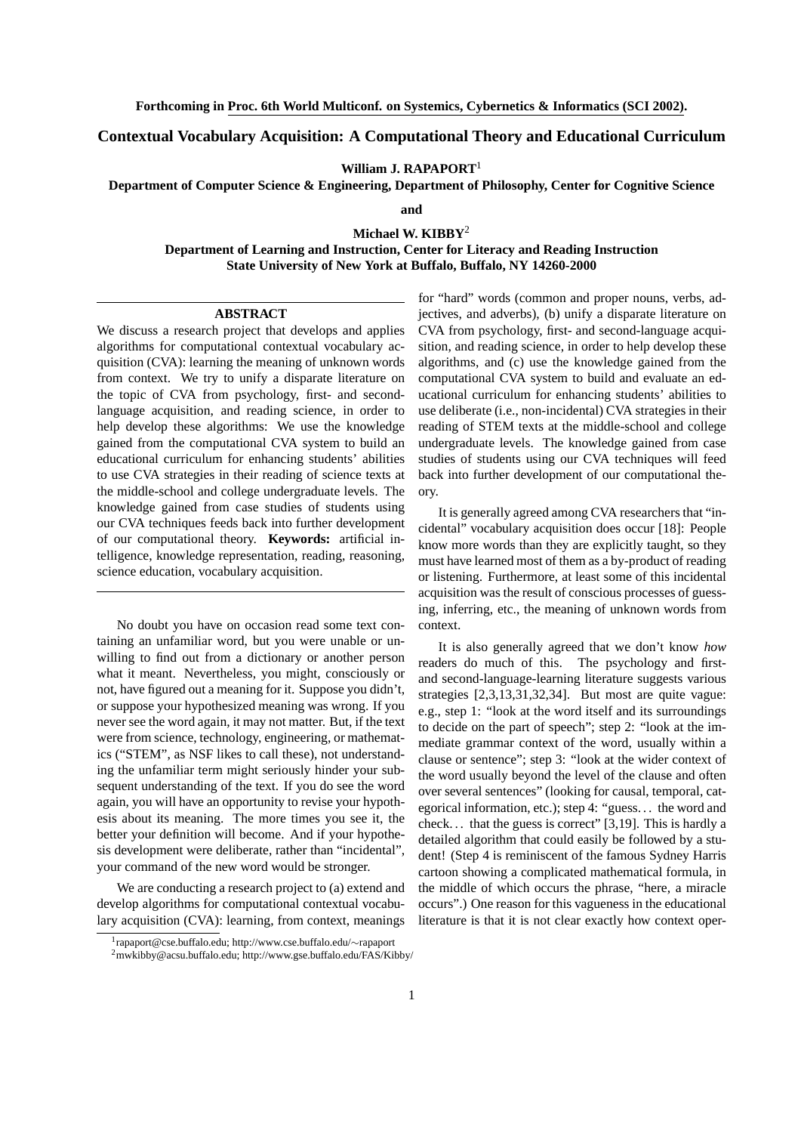## **Contextual Vocabulary Acquisition: A Computational Theory and Educational Curriculum**

**William J. RAPAPORT**<sup>1</sup>

**Department of Computer Science & Engineering, Department of Philosophy, Center for Cognitive Science**

**and**

## **Michael W. KIBBY**<sup>2</sup>

**Department of Learning and Instruction, Center for Literacy and Reading Instruction State University of New York at Buffalo, Buffalo, NY 14260-2000**

## **ABSTRACT**

We discuss a research project that develops and applies algorithms for computational contextual vocabulary acquisition (CVA): learning the meaning of unknown words from context. We try to unify a disparate literature on the topic of CVA from psychology, first- and secondlanguage acquisition, and reading science, in order to help develop these algorithms: We use the knowledge gained from the computational CVA system to build an educational curriculum for enhancing students' abilities to use CVA strategies in their reading of science texts at the middle-school and college undergraduate levels. The knowledge gained from case studies of students using our CVA techniques feeds back into further development of our computational theory. **Keywords:** artificial intelligence, knowledge representation, reading, reasoning, science education, vocabulary acquisition.

No doubt you have on occasion read some text containing an unfamiliar word, but you were unable or unwilling to find out from a dictionary or another person what it meant. Nevertheless, you might, consciously or not, have figured out a meaning for it. Suppose you didn't, or suppose your hypothesized meaning was wrong. If you never see the word again, it may not matter. But, if the text were from science, technology, engineering, or mathematics ("STEM", as NSF likes to call these), not understanding the unfamiliar term might seriously hinder your subsequent understanding of the text. If you do see the word again, you will have an opportunity to revise your hypothesis about its meaning. The more times you see it, the better your definition will become. And if your hypothesis development were deliberate, rather than "incidental", your command of the new word would be stronger.

We are conducting a research project to (a) extend and develop algorithms for computational contextual vocabulary acquisition (CVA): learning, from context, meanings for "hard" words (common and proper nouns, verbs, adjectives, and adverbs), (b) unify a disparate literature on CVA from psychology, first- and second-language acquisition, and reading science, in order to help develop these algorithms, and (c) use the knowledge gained from the computational CVA system to build and evaluate an educational curriculum for enhancing students' abilities to use deliberate (i.e., non-incidental) CVA strategies in their reading of STEM texts at the middle-school and college undergraduate levels. The knowledge gained from case studies of students using our CVA techniques will feed back into further development of our computational theory.

It is generally agreed among CVA researchers that "incidental" vocabulary acquisition does occur [18]: People know more words than they are explicitly taught, so they must have learned most of them as a by-product of reading or listening. Furthermore, at least some of this incidental acquisition was the result of conscious processes of guessing, inferring, etc., the meaning of unknown words from context.

It is also generally agreed that we don't know *how* readers do much of this. The psychology and firstand second-language-learning literature suggests various strategies [2,3,13,31,32,34]. But most are quite vague: e.g., step 1: "look at the word itself and its surroundings to decide on the part of speech"; step 2: "look at the immediate grammar context of the word, usually within a clause or sentence"; step 3: "look at the wider context of the word usually beyond the level of the clause and often over several sentences" (looking for causal, temporal, categorical information, etc.); step 4: "guess. . . the word and check. . . that the guess is correct" [3,19]. This is hardly a detailed algorithm that could easily be followed by a student! (Step 4 is reminiscent of the famous Sydney Harris cartoon showing a complicated mathematical formula, in the middle of which occurs the phrase, "here, a miracle occurs".) One reason for this vagueness in the educational literature is that it is not clear exactly how context oper-

<sup>1</sup> rapaport@cse.buffalo.edu; http://www.cse.buffalo.edu/∼rapaport

<sup>2</sup>mwkibby@acsu.buffalo.edu; http://www.gse.buffalo.edu/FAS/Kibby/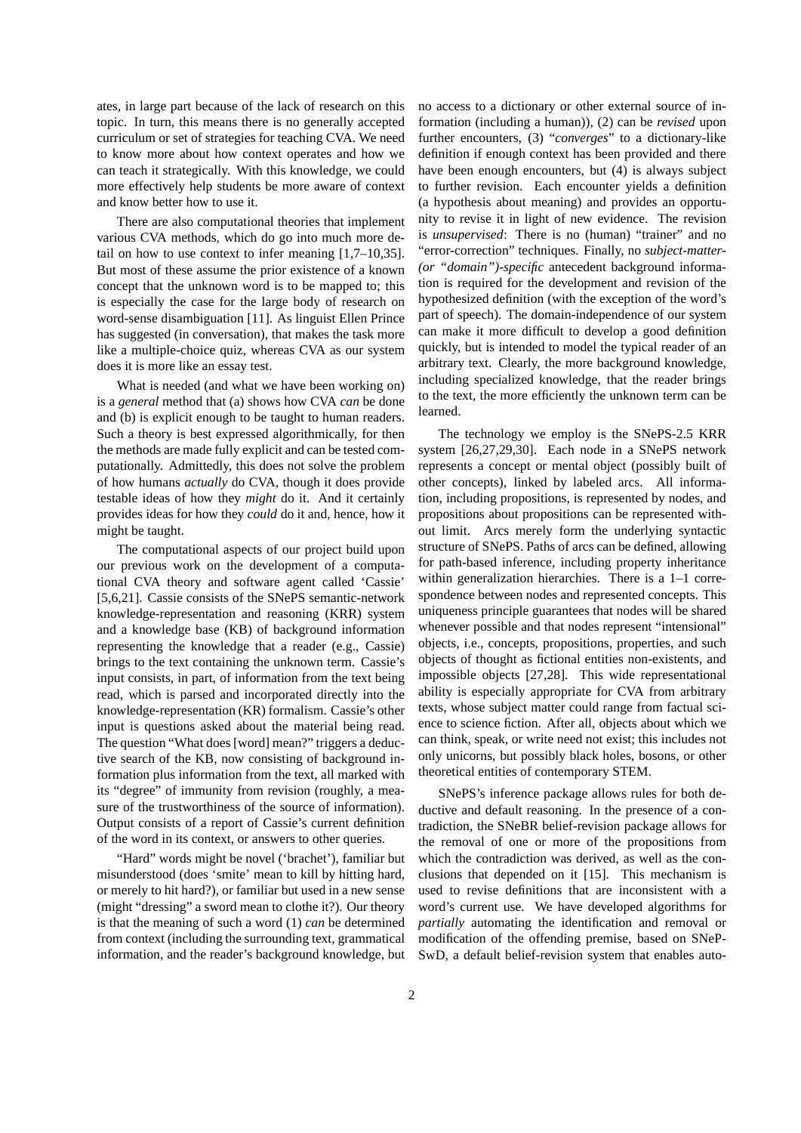ates, in large part because of the lack of research on this topic. In turn, this means there is no generally accepted curriculum or set of strategies for teaching CVA. We need to know more about how context operates and how we can teach it strategically. With this knowledge, we could more effectively help students be more aware of context and know better how to use it.

There are also computational theories that implement various CVA methods, which do go into much more detail on how to use context to infer meaning [1,7–10,35]. But most of these assume the prior existence of a known concept that the unknown word is to be mapped to; this is especially the case for the large body of research on word-sense disambiguation [11]. As linguist Ellen Prince has suggested (in conversation), that makes the task more like a multiple-choice quiz, whereas CVA as our system does it is more like an essay test.

What is needed (and what we have been working on) is a *general* method that (a) shows how CVA *can* be done and (b) is explicit enough to be taught to human readers. Such a theory is best expressed algorithmically, for then the methods are made fully explicit and can be tested computationally. Admittedly, this does not solve the problem of how humans *actually* do CVA, though it does provide testable ideas of how they *might* do it. And it certainly provides ideas for how they *could* do it and, hence, how it might be taught.

The computational aspects of our project build upon our previous work on the development of a computational CVA theory and software agent called 'Cassie' [5,6,21]. Cassie consists of the SNePS semantic-network knowledge-representation and reasoning (KRR) system and a knowledge base (KB) of background information representing the knowledge that a reader (e.g., Cassie) brings to the text containing the unknown term. Cassie's input consists, in part, of information from the text being read, which is parsed and incorporated directly into the knowledge-representation (KR) formalism. Cassie's other input is questions asked about the material being read. The question "What does [word] mean?" triggers a deductive search of the KB, now consisting of background information plus information from the text, all marked with its "degree" of immunity from revision (roughly, a measure of the trustworthiness of the source of information). Output consists of a report of Cassie's current definition of the word in its context, or answers to other queries.

"Hard" words might be novel ('brachet'), familiar but misunderstood (does 'smite' mean to kill by hitting hard, or merely to hit hard?), or familiar but used in a new sense (might "dressing" a sword mean to clothe it?). Our theory is that the meaning of such a word (1) *can* be determined from context (including the surrounding text, grammatical information, and the reader's background knowledge, but

no access to a dictionary or other external source of information (including a human)), (2) can be *revised* upon further encounters, (3) "*converges*" to a dictionary-like definition if enough context has been provided and there have been enough encounters, but (4) is always subject to further revision. Each encounter yields a definition (a hypothesis about meaning) and provides an opportunity to revise it in light of new evidence. The revision is *unsupervised*: There is no (human) "trainer" and no "error-correction" techniques. Finally, no *subject-matter- (or "domain")-specific* antecedent background information is required for the development and revision of the hypothesized definition (with the exception of the word's part of speech). The domain-independence of our system can make it more difficult to develop a good definition quickly, but is intended to model the typical reader of an arbitrary text. Clearly, the more background knowledge, including specialized knowledge, that the reader brings to the text, the more efficiently the unknown term can be learned.

The technology we employ is the SNePS-2.5 KRR system [26,27,29,30]. Each node in a SNePS network represents a concept or mental object (possibly built of other concepts), linked by labeled arcs. All information, including propositions, is represented by nodes, and propositions about propositions can be represented without limit. Arcs merely form the underlying syntactic structure of SNePS. Paths of arcs can be defined, allowing for path-based inference, including property inheritance within generalization hierarchies. There is a 1–1 correspondence between nodes and represented concepts. This uniqueness principle guarantees that nodes will be shared whenever possible and that nodes represent "intensional" objects, i.e., concepts, propositions, properties, and such objects of thought as fictional entities non-existents, and impossible objects [27,28]. This wide representational ability is especially appropriate for CVA from arbitrary texts, whose subject matter could range from factual science to science fiction. After all, objects about which we can think, speak, or write need not exist; this includes not only unicorns, but possibly black holes, bosons, or other theoretical entities of contemporary STEM.

SNePS's inference package allows rules for both deductive and default reasoning. In the presence of a contradiction, the SNeBR belief-revision package allows for the removal of one or more of the propositions from which the contradiction was derived, as well as the conclusions that depended on it [15]. This mechanism is used to revise definitions that are inconsistent with a word's current use. We have developed algorithms for *partially* automating the identification and removal or modification of the offending premise, based on SNeP-SwD, a default belief-revision system that enables auto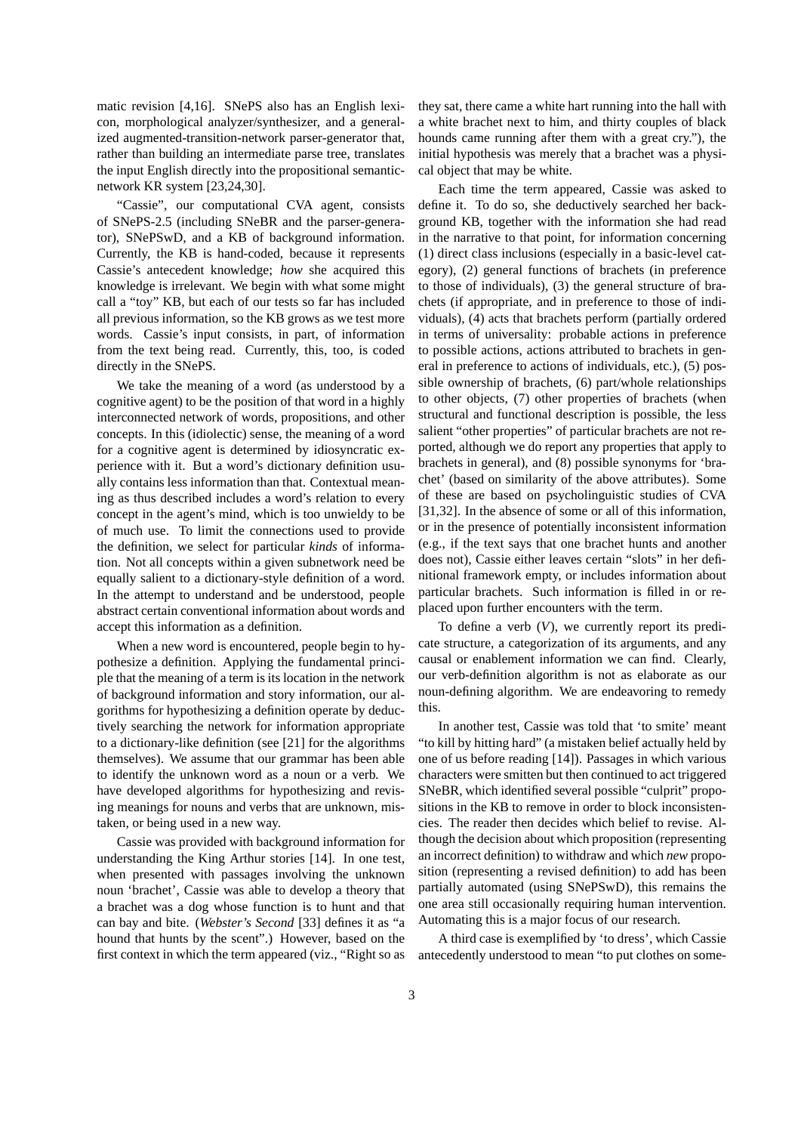matic revision [4,16]. SNePS also has an English lexicon, morphological analyzer/synthesizer, and a generalized augmented-transition-network parser-generator that, rather than building an intermediate parse tree, translates the input English directly into the propositional semanticnetwork KR system [23,24,30].

"Cassie", our computational CVA agent, consists of SNePS-2.5 (including SNeBR and the parser-generator), SNePSwD, and a KB of background information. Currently, the KB is hand-coded, because it represents Cassie's antecedent knowledge; *how* she acquired this knowledge is irrelevant. We begin with what some might call a "toy" KB, but each of our tests so far has included all previous information, so the KB grows as we test more words. Cassie's input consists, in part, of information from the text being read. Currently, this, too, is coded directly in the SNePS.

We take the meaning of a word (as understood by a cognitive agent) to be the position of that word in a highly interconnected network of words, propositions, and other concepts. In this (idiolectic) sense, the meaning of a word for a cognitive agent is determined by idiosyncratic experience with it. But a word's dictionary definition usually contains less information than that. Contextual meaning as thus described includes a word's relation to every concept in the agent's mind, which is too unwieldy to be of much use. To limit the connections used to provide the definition, we select for particular *kinds* of information. Not all concepts within a given subnetwork need be equally salient to a dictionary-style definition of a word. In the attempt to understand and be understood, people abstract certain conventional information about words and accept this information as a definition.

When a new word is encountered, people begin to hypothesize a definition. Applying the fundamental principle that the meaning of a term is its location in the network of background information and story information, our algorithms for hypothesizing a definition operate by deductively searching the network for information appropriate to a dictionary-like definition (see [21] for the algorithms themselves). We assume that our grammar has been able to identify the unknown word as a noun or a verb. We have developed algorithms for hypothesizing and revising meanings for nouns and verbs that are unknown, mistaken, or being used in a new way.

Cassie was provided with background information for understanding the King Arthur stories [14]. In one test, when presented with passages involving the unknown noun 'brachet', Cassie was able to develop a theory that a brachet was a dog whose function is to hunt and that can bay and bite. (*Webster's Second* [33] defines it as "a hound that hunts by the scent".) However, based on the first context in which the term appeared (viz., "Right so as

they sat, there came a white hart running into the hall with a white brachet next to him, and thirty couples of black hounds came running after them with a great cry."), the initial hypothesis was merely that a brachet was a physical object that may be white.

Each time the term appeared, Cassie was asked to define it. To do so, she deductively searched her background KB, together with the information she had read in the narrative to that point, for information concerning (1) direct class inclusions (especially in a basic-level category), (2) general functions of brachets (in preference to those of individuals), (3) the general structure of brachets (if appropriate, and in preference to those of individuals), (4) acts that brachets perform (partially ordered in terms of universality: probable actions in preference to possible actions, actions attributed to brachets in general in preference to actions of individuals, etc.), (5) possible ownership of brachets, (6) part/whole relationships to other objects, (7) other properties of brachets (when structural and functional description is possible, the less salient "other properties" of particular brachets are not reported, although we do report any properties that apply to brachets in general), and (8) possible synonyms for 'brachet' (based on similarity of the above attributes). Some of these are based on psycholinguistic studies of CVA [31,32]. In the absence of some or all of this information, or in the presence of potentially inconsistent information (e.g., if the text says that one brachet hunts and another does not), Cassie either leaves certain "slots" in her definitional framework empty, or includes information about particular brachets. Such information is filled in or replaced upon further encounters with the term.

To define a verb  $(V)$ , we currently report its predicate structure, a categorization of its arguments, and any causal or enablement information we can find. Clearly, our verb-definition algorithm is not as elaborate as our noun-defining algorithm. We are endeavoring to remedy this.

In another test, Cassie was told that 'to smite' meant "to kill by hitting hard" (a mistaken belief actually held by one of us before reading [14]). Passages in which various characters were smitten but then continued to act triggered SNeBR, which identified several possible "culprit" propositions in the KB to remove in order to block inconsistencies. The reader then decides which belief to revise. Although the decision about which proposition (representing an incorrect definition) to withdraw and which *new* proposition (representing a revised definition) to add has been partially automated (using SNePSwD), this remains the one area still occasionally requiring human intervention. Automating this is a major focus of our research.

A third case is exemplified by 'to dress', which Cassie antecedently understood to mean "to put clothes on some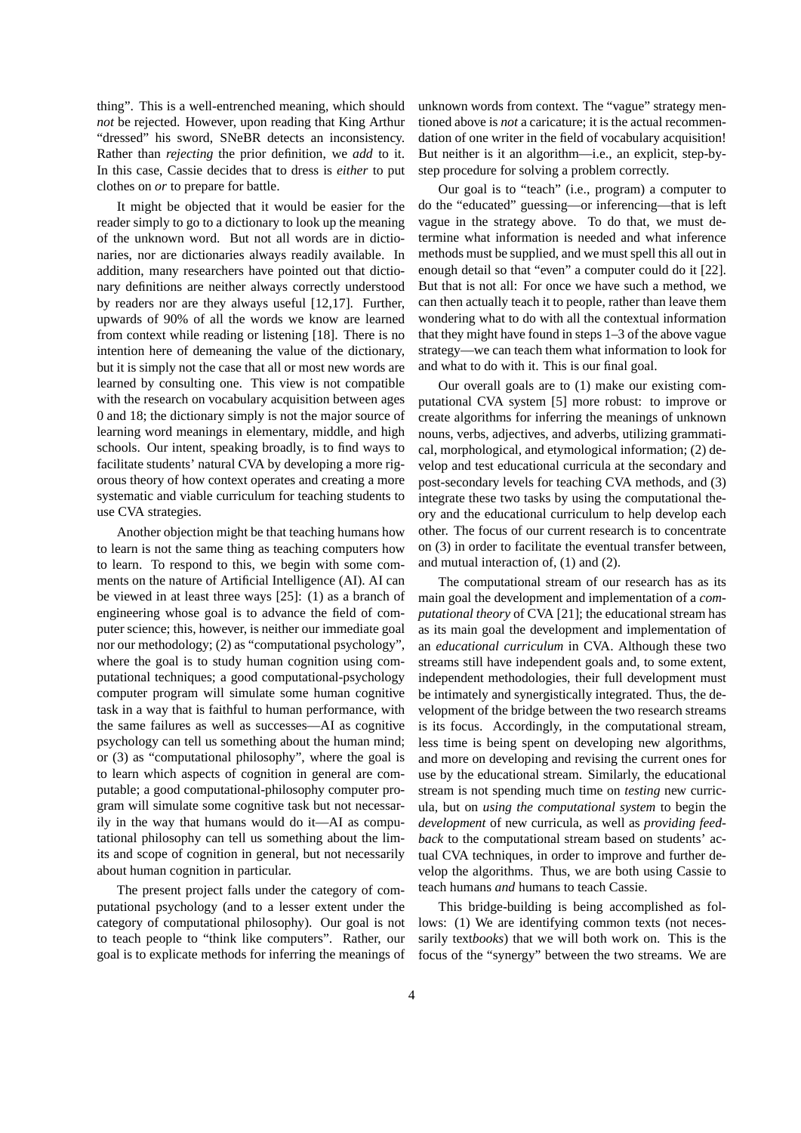thing". This is a well-entrenched meaning, which should *not* be rejected. However, upon reading that King Arthur "dressed" his sword, SNeBR detects an inconsistency. Rather than *rejecting* the prior definition, we *add* to it. In this case, Cassie decides that to dress is *either* to put clothes on *or* to prepare for battle.

It might be objected that it would be easier for the reader simply to go to a dictionary to look up the meaning of the unknown word. But not all words are in dictionaries, nor are dictionaries always readily available. In addition, many researchers have pointed out that dictionary definitions are neither always correctly understood by readers nor are they always useful [12,17]. Further, upwards of 90% of all the words we know are learned from context while reading or listening [18]. There is no intention here of demeaning the value of the dictionary, but it is simply not the case that all or most new words are learned by consulting one. This view is not compatible with the research on vocabulary acquisition between ages 0 and 18; the dictionary simply is not the major source of learning word meanings in elementary, middle, and high schools. Our intent, speaking broadly, is to find ways to facilitate students' natural CVA by developing a more rigorous theory of how context operates and creating a more systematic and viable curriculum for teaching students to use CVA strategies.

Another objection might be that teaching humans how to learn is not the same thing as teaching computers how to learn. To respond to this, we begin with some comments on the nature of Artificial Intelligence (AI). AI can be viewed in at least three ways [25]: (1) as a branch of engineering whose goal is to advance the field of computer science; this, however, is neither our immediate goal nor our methodology; (2) as "computational psychology", where the goal is to study human cognition using computational techniques; a good computational-psychology computer program will simulate some human cognitive task in a way that is faithful to human performance, with the same failures as well as successes—AI as cognitive psychology can tell us something about the human mind; or (3) as "computational philosophy", where the goal is to learn which aspects of cognition in general are computable; a good computational-philosophy computer program will simulate some cognitive task but not necessarily in the way that humans would do it—AI as computational philosophy can tell us something about the limits and scope of cognition in general, but not necessarily about human cognition in particular.

The present project falls under the category of computational psychology (and to a lesser extent under the category of computational philosophy). Our goal is not to teach people to "think like computers". Rather, our goal is to explicate methods for inferring the meanings of

unknown words from context. The "vague" strategy mentioned above is *not* a caricature; it is the actual recommendation of one writer in the field of vocabulary acquisition! But neither is it an algorithm—i.e., an explicit, step-bystep procedure for solving a problem correctly.

Our goal is to "teach" (i.e., program) a computer to do the "educated" guessing—or inferencing—that is left vague in the strategy above. To do that, we must determine what information is needed and what inference methods must be supplied, and we must spell this all out in enough detail so that "even" a computer could do it [22]. But that is not all: For once we have such a method, we can then actually teach it to people, rather than leave them wondering what to do with all the contextual information that they might have found in steps 1–3 of the above vague strategy—we can teach them what information to look for and what to do with it. This is our final goal.

Our overall goals are to (1) make our existing computational CVA system [5] more robust: to improve or create algorithms for inferring the meanings of unknown nouns, verbs, adjectives, and adverbs, utilizing grammatical, morphological, and etymological information; (2) develop and test educational curricula at the secondary and post-secondary levels for teaching CVA methods, and (3) integrate these two tasks by using the computational theory and the educational curriculum to help develop each other. The focus of our current research is to concentrate on (3) in order to facilitate the eventual transfer between, and mutual interaction of, (1) and (2).

The computational stream of our research has as its main goal the development and implementation of a *computational theory* of CVA [21]; the educational stream has as its main goal the development and implementation of an *educational curriculum* in CVA. Although these two streams still have independent goals and, to some extent, independent methodologies, their full development must be intimately and synergistically integrated. Thus, the development of the bridge between the two research streams is its focus. Accordingly, in the computational stream, less time is being spent on developing new algorithms, and more on developing and revising the current ones for use by the educational stream. Similarly, the educational stream is not spending much time on *testing* new curricula, but on *using the computational system* to begin the *development* of new curricula, as well as *providing feedback* to the computational stream based on students' actual CVA techniques, in order to improve and further develop the algorithms. Thus, we are both using Cassie to teach humans *and* humans to teach Cassie.

This bridge-building is being accomplished as follows: (1) We are identifying common texts (not necessarily text*books*) that we will both work on. This is the focus of the "synergy" between the two streams. We are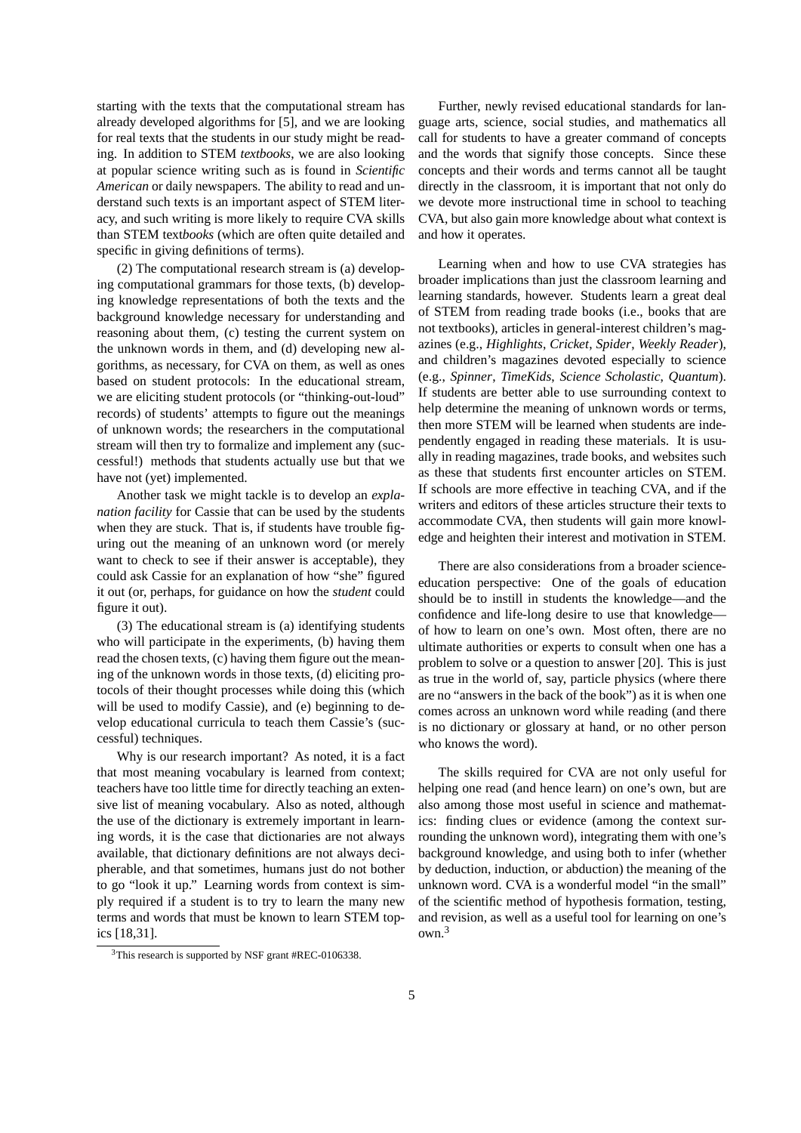starting with the texts that the computational stream has already developed algorithms for [5], and we are looking for real texts that the students in our study might be reading. In addition to STEM *textbooks*, we are also looking at popular science writing such as is found in *Scientific American* or daily newspapers. The ability to read and understand such texts is an important aspect of STEM literacy, and such writing is more likely to require CVA skills than STEM text*books* (which are often quite detailed and specific in giving definitions of terms).

(2) The computational research stream is (a) developing computational grammars for those texts, (b) developing knowledge representations of both the texts and the background knowledge necessary for understanding and reasoning about them, (c) testing the current system on the unknown words in them, and (d) developing new algorithms, as necessary, for CVA on them, as well as ones based on student protocols: In the educational stream, we are eliciting student protocols (or "thinking-out-loud" records) of students' attempts to figure out the meanings of unknown words; the researchers in the computational stream will then try to formalize and implement any (successful!) methods that students actually use but that we have not (yet) implemented.

Another task we might tackle is to develop an *explanation facility* for Cassie that can be used by the students when they are stuck. That is, if students have trouble figuring out the meaning of an unknown word (or merely want to check to see if their answer is acceptable), they could ask Cassie for an explanation of how "she" figured it out (or, perhaps, for guidance on how the *student* could figure it out).

(3) The educational stream is (a) identifying students who will participate in the experiments, (b) having them read the chosen texts, (c) having them figure out the meaning of the unknown words in those texts, (d) eliciting protocols of their thought processes while doing this (which will be used to modify Cassie), and (e) beginning to develop educational curricula to teach them Cassie's (successful) techniques.

Why is our research important? As noted, it is a fact that most meaning vocabulary is learned from context; teachers have too little time for directly teaching an extensive list of meaning vocabulary. Also as noted, although the use of the dictionary is extremely important in learning words, it is the case that dictionaries are not always available, that dictionary definitions are not always decipherable, and that sometimes, humans just do not bother to go "look it up." Learning words from context is simply required if a student is to try to learn the many new terms and words that must be known to learn STEM topics [18,31].

Further, newly revised educational standards for language arts, science, social studies, and mathematics all call for students to have a greater command of concepts and the words that signify those concepts. Since these concepts and their words and terms cannot all be taught directly in the classroom, it is important that not only do we devote more instructional time in school to teaching CVA, but also gain more knowledge about what context is and how it operates.

Learning when and how to use CVA strategies has broader implications than just the classroom learning and learning standards, however. Students learn a great deal of STEM from reading trade books (i.e., books that are not textbooks), articles in general-interest children's magazines (e.g., *Highlights*, *Cricket*, *Spider*, *Weekly Reader*), and children's magazines devoted especially to science (e.g., *Spinner*, *TimeKids*, *Science Scholastic*, *Quantum*). If students are better able to use surrounding context to help determine the meaning of unknown words or terms, then more STEM will be learned when students are independently engaged in reading these materials. It is usually in reading magazines, trade books, and websites such as these that students first encounter articles on STEM. If schools are more effective in teaching CVA, and if the writers and editors of these articles structure their texts to accommodate CVA, then students will gain more knowledge and heighten their interest and motivation in STEM.

There are also considerations from a broader scienceeducation perspective: One of the goals of education should be to instill in students the knowledge—and the confidence and life-long desire to use that knowledge of how to learn on one's own. Most often, there are no ultimate authorities or experts to consult when one has a problem to solve or a question to answer [20]. This is just as true in the world of, say, particle physics (where there are no "answers in the back of the book") as it is when one comes across an unknown word while reading (and there is no dictionary or glossary at hand, or no other person who knows the word).

The skills required for CVA are not only useful for helping one read (and hence learn) on one's own, but are also among those most useful in science and mathematics: finding clues or evidence (among the context surrounding the unknown word), integrating them with one's background knowledge, and using both to infer (whether by deduction, induction, or abduction) the meaning of the unknown word. CVA is a wonderful model "in the small" of the scientific method of hypothesis formation, testing, and revision, as well as a useful tool for learning on one's own.<sup>3</sup>

<sup>&</sup>lt;sup>3</sup>This research is supported by NSF grant #REC-0106338.